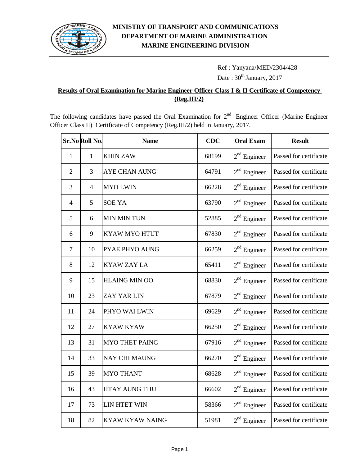

# Ref : Yanyana/MED/2304/428 Date:  $30^{th}$  January, 2017

#### **Results of Oral Examination for Marine Engineer Officer Class I & II Certificate of Competency (Reg.III/2)**

The following candidates have passed the Oral Examination for  $2<sup>nd</sup>$  Engineer Officer (Marine Engineer Officer Class II) Certificate of Competency (Reg.III/2) held in January, 2017.

|                | Sr.No Roll No. | <b>Name</b>            | <b>CDC</b> | <b>Oral Exam</b> | <b>Result</b>          |
|----------------|----------------|------------------------|------------|------------------|------------------------|
| $\mathbf{1}$   | $\mathbf{1}$   | <b>KHIN ZAW</b>        | 68199      | $2nd$ Engineer   | Passed for certificate |
| $\overline{2}$ | 3              | <b>AYE CHAN AUNG</b>   | 64791      | $2nd$ Engineer   | Passed for certificate |
| 3              | $\overline{4}$ | <b>MYO LWIN</b>        | 66228      | $2nd$ Engineer   | Passed for certificate |
| $\overline{4}$ | 5              | <b>SOE YA</b>          | 63790      | $2nd$ Engineer   | Passed for certificate |
| 5              | 6              | <b>MIN MIN TUN</b>     | 52885      | $2nd$ Engineer   | Passed for certificate |
| 6              | 9              | <b>KYAW MYO HTUT</b>   | 67830      | $2nd$ Engineer   | Passed for certificate |
| $\tau$         | 10             | PYAE PHYO AUNG         | 66259      | $2nd$ Engineer   | Passed for certificate |
| 8              | 12             | <b>KYAW ZAY LA</b>     | 65411      | $2nd$ Engineer   | Passed for certificate |
| 9              | 15             | <b>HLAING MIN OO</b>   | 68830      | $2nd$ Engineer   | Passed for certificate |
| 10             | 23             | <b>ZAY YAR LIN</b>     | 67879      | $2nd$ Engineer   | Passed for certificate |
| 11             | 24             | PHYO WAI LWIN          | 69629      | $2nd$ Engineer   | Passed for certificate |
| 12             | 27             | <b>KYAW KYAW</b>       | 66250      | $2nd$ Engineer   | Passed for certificate |
| 13             | 31             | <b>MYO THET PAING</b>  | 67916      | $2nd$ Engineer   | Passed for certificate |
| 14             | 33             | <b>NAY CHI MAUNG</b>   | 66270      | $2nd$ Engineer   | Passed for certificate |
| 15             | 39             | <b>MYO THANT</b>       | 68628      | $2nd$ Engineer   | Passed for certificate |
| 16             | 43             | <b>HTAY AUNG THU</b>   | 66602      | $2nd$ Engineer   | Passed for certificate |
| 17             | 73             | LIN HTET WIN           | 58366      | $2nd$ Engineer   | Passed for certificate |
| 18             | 82             | <b>KYAW KYAW NAING</b> | 51981      | $2nd$ Engineer   | Passed for certificate |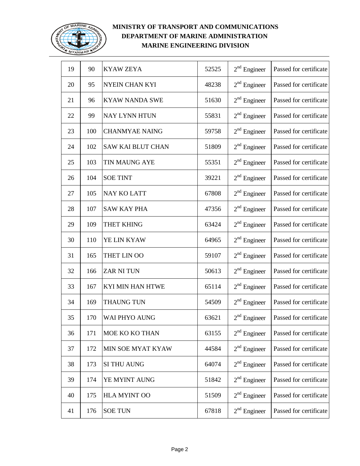

| 19 | 90  | <b>KYAW ZEYA</b>      | 52525 | $2nd$ Engineer | Passed for certificate |
|----|-----|-----------------------|-------|----------------|------------------------|
| 20 | 95  | NYEIN CHAN KYI        | 48238 | $2nd$ Engineer | Passed for certificate |
| 21 | 96  | <b>KYAW NANDA SWE</b> | 51630 | $2nd$ Engineer | Passed for certificate |
| 22 | 99  | <b>NAY LYNN HTUN</b>  | 55831 | $2nd$ Engineer | Passed for certificate |
| 23 | 100 | <b>CHANMYAE NAING</b> | 59758 | $2nd$ Engineer | Passed for certificate |
| 24 | 102 | SAW KAI BLUT CHAN     | 51809 | $2nd$ Engineer | Passed for certificate |
| 25 | 103 | TIN MAUNG AYE         | 55351 | $2nd$ Engineer | Passed for certificate |
| 26 | 104 | <b>SOE TINT</b>       | 39221 | $2nd$ Engineer | Passed for certificate |
| 27 | 105 | <b>NAY KO LATT</b>    | 67808 | $2nd$ Engineer | Passed for certificate |
| 28 | 107 | <b>SAW KAY PHA</b>    | 47356 | $2nd$ Engineer | Passed for certificate |
| 29 | 109 | THET KHING            | 63424 | $2nd$ Engineer | Passed for certificate |
| 30 | 110 | YE LIN KYAW           | 64965 | $2nd$ Engineer | Passed for certificate |
| 31 | 165 | THET LIN OO           | 59107 | $2nd$ Engineer | Passed for certificate |
| 32 | 166 | <b>ZAR NI TUN</b>     | 50613 | $2nd$ Engineer | Passed for certificate |
| 33 | 167 | KYI MIN HAN HTWE      | 65114 | $2nd$ Engineer | Passed for certificate |
| 34 | 169 | <b>THAUNG TUN</b>     | 54509 | $2nd$ Engineer | Passed for certificate |
| 35 | 170 | WAI PHYO AUNG         | 63621 | $2nd$ Engineer | Passed for certificate |
| 36 | 171 | MOE KO KO THAN        | 63155 | $2nd$ Engineer | Passed for certificate |
| 37 | 172 | MIN SOE MYAT KYAW     | 44584 | $2nd$ Engineer | Passed for certificate |
| 38 | 173 | <b>SI THU AUNG</b>    | 64074 | $2nd$ Engineer | Passed for certificate |
| 39 | 174 | YE MYINT AUNG         | 51842 | $2nd$ Engineer | Passed for certificate |
| 40 | 175 | <b>HLA MYINT OO</b>   | 51509 | $2nd$ Engineer | Passed for certificate |
| 41 | 176 | <b>SOE TUN</b>        | 67818 | $2nd$ Engineer | Passed for certificate |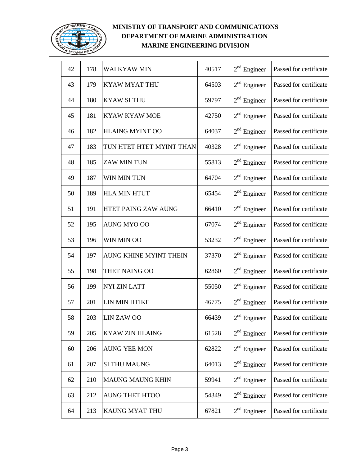

| 42 | 178 | WAI KYAW MIN             | 40517 | $2nd$ Engineer | Passed for certificate |
|----|-----|--------------------------|-------|----------------|------------------------|
| 43 | 179 | <b>KYAW MYAT THU</b>     | 64503 | $2nd$ Engineer | Passed for certificate |
| 44 | 180 | <b>KYAW SITHU</b>        | 59797 | $2nd$ Engineer | Passed for certificate |
| 45 | 181 | <b>KYAW KYAW MOE</b>     | 42750 | $2nd$ Engineer | Passed for certificate |
| 46 | 182 | <b>HLAING MYINT OO</b>   | 64037 | $2nd$ Engineer | Passed for certificate |
| 47 | 183 | TUN HTET HTET MYINT THAN | 40328 | $2nd$ Engineer | Passed for certificate |
| 48 | 185 | <b>ZAW MIN TUN</b>       | 55813 | $2nd$ Engineer | Passed for certificate |
| 49 | 187 | WIN MIN TUN              | 64704 | $2nd$ Engineer | Passed for certificate |
| 50 | 189 | <b>HLA MIN HTUT</b>      | 65454 | $2nd$ Engineer | Passed for certificate |
| 51 | 191 | HTET PAING ZAW AUNG      | 66410 | $2nd$ Engineer | Passed for certificate |
| 52 | 195 | AUNG MYO OO              | 67074 | $2nd$ Engineer | Passed for certificate |
| 53 | 196 | WIN MIN OO               | 53232 | $2nd$ Engineer | Passed for certificate |
| 54 | 197 | AUNG KHINE MYINT THEIN   | 37370 | $2nd$ Engineer | Passed for certificate |
| 55 | 198 | THET NAING OO            | 62860 | $2nd$ Engineer | Passed for certificate |
| 56 | 199 | <b>NYI ZIN LATT</b>      | 55050 | $2nd$ Engineer | Passed for certificate |
| 57 | 201 | LIN MIN HTIKE            | 46775 | $2nd$ Engineer | Passed for certificate |
| 58 | 203 | <b>LIN ZAW OO</b>        | 66439 | $2nd$ Engineer | Passed for certificate |
| 59 | 205 | <b>KYAW ZIN HLAING</b>   | 61528 | $2nd$ Engineer | Passed for certificate |
| 60 | 206 | <b>AUNG YEE MON</b>      | 62822 | $2nd$ Engineer | Passed for certificate |
| 61 | 207 | <b>SI THU MAUNG</b>      | 64013 | $2nd$ Engineer | Passed for certificate |
| 62 | 210 | <b>MAUNG MAUNG KHIN</b>  | 59941 | $2nd$ Engineer | Passed for certificate |
| 63 | 212 | <b>AUNG THET HTOO</b>    | 54349 | $2nd$ Engineer | Passed for certificate |
| 64 | 213 | KAUNG MYAT THU           | 67821 | $2nd$ Engineer | Passed for certificate |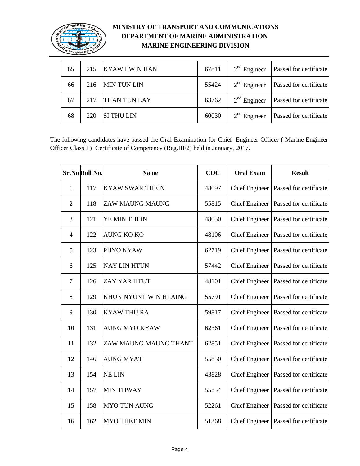

| 65 | 215 | <b>KYAW LWIN HAN</b> | 67811 | $2nd$ Engineer | Passed for certificate        |
|----|-----|----------------------|-------|----------------|-------------------------------|
| 66 | 216 | <b>MIN TUN LIN</b>   | 55424 | $2nd$ Engineer | <b>Passed for certificate</b> |
| 67 | 217 | THAN TUN LAY         | 63762 | $2nd$ Engineer | <b>Passed for certificate</b> |
| 68 | 220 | <b>SI THU LIN</b>    | 60030 | $2nd$ Engineer | Passed for certificate        |

The following candidates have passed the Oral Examination for Chief Engineer Officer ( Marine Engineer Officer Class I ) Certificate of Competency (Reg.III/2) held in January, 2017.

|                | Sr.No Roll No. | <b>Name</b>            | <b>CDC</b> | <b>Oral Exam</b>      | <b>Result</b>          |
|----------------|----------------|------------------------|------------|-----------------------|------------------------|
| $\mathbf{1}$   | 117            | <b>KYAW SWAR THEIN</b> | 48097      | <b>Chief Engineer</b> | Passed for certificate |
| $\overline{2}$ | 118            | ZAW MAUNG MAUNG        | 55815      | <b>Chief Engineer</b> | Passed for certificate |
| 3              | 121            | YE MIN THEIN           | 48050      | <b>Chief Engineer</b> | Passed for certificate |
| $\overline{4}$ | 122            | <b>AUNG KO KO</b>      | 48106      | <b>Chief Engineer</b> | Passed for certificate |
| 5              | 123            | PHYO KYAW              | 62719      | <b>Chief Engineer</b> | Passed for certificate |
| 6              | 125            | <b>NAY LIN HTUN</b>    | 57442      | <b>Chief Engineer</b> | Passed for certificate |
| $\overline{7}$ | 126            | ZAY YAR HTUT           | 48101      | <b>Chief Engineer</b> | Passed for certificate |
| 8              | 129            | KHUN NYUNT WIN HLAING  | 55791      | <b>Chief Engineer</b> | Passed for certificate |
| 9              | 130            | <b>KYAW THU RA</b>     | 59817      | <b>Chief Engineer</b> | Passed for certificate |
| 10             | 131            | <b>AUNG MYO KYAW</b>   | 62361      | <b>Chief Engineer</b> | Passed for certificate |
| 11             | 132            | ZAW MAUNG MAUNG THANT  | 62851      | <b>Chief Engineer</b> | Passed for certificate |
| 12             | 146            | <b>AUNG MYAT</b>       | 55850      | <b>Chief Engineer</b> | Passed for certificate |
| 13             | 154            | <b>NE LIN</b>          | 43828      | <b>Chief Engineer</b> | Passed for certificate |
| 14             | 157            | <b>MIN THWAY</b>       | 55854      | <b>Chief Engineer</b> | Passed for certificate |
| 15             | 158            | <b>MYO TUN AUNG</b>    | 52261      | <b>Chief Engineer</b> | Passed for certificate |
| 16             | 162            | <b>MYO THET MIN</b>    | 51368      | <b>Chief Engineer</b> | Passed for certificate |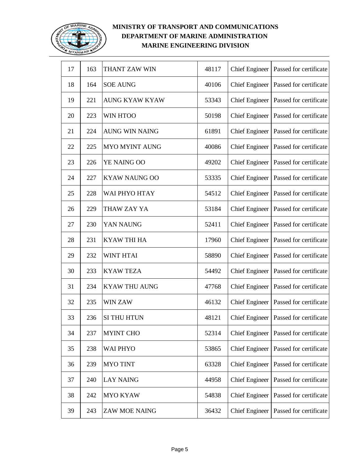

| 17 | 163 | THANT ZAW WIN         | 48117 | <b>Chief Engineer</b> | Passed for certificate |
|----|-----|-----------------------|-------|-----------------------|------------------------|
| 18 | 164 | <b>SOE AUNG</b>       | 40106 | <b>Chief Engineer</b> | Passed for certificate |
| 19 | 221 | <b>AUNG KYAW KYAW</b> | 53343 | <b>Chief Engineer</b> | Passed for certificate |
| 20 | 223 | <b>WIN HTOO</b>       | 50198 | <b>Chief Engineer</b> | Passed for certificate |
| 21 | 224 | <b>AUNG WIN NAING</b> | 61891 | <b>Chief Engineer</b> | Passed for certificate |
| 22 | 225 | <b>MYO MYINT AUNG</b> | 40086 | <b>Chief Engineer</b> | Passed for certificate |
| 23 | 226 | YE NAING OO           | 49202 | <b>Chief Engineer</b> | Passed for certificate |
| 24 | 227 | <b>KYAW NAUNG OO</b>  | 53335 | <b>Chief Engineer</b> | Passed for certificate |
| 25 | 228 | WAI PHYO HTAY         | 54512 | <b>Chief Engineer</b> | Passed for certificate |
| 26 | 229 | THAW ZAY YA           | 53184 | <b>Chief Engineer</b> | Passed for certificate |
| 27 | 230 | YAN NAUNG             | 52411 | <b>Chief Engineer</b> | Passed for certificate |
| 28 | 231 | <b>KYAW THI HA</b>    | 17960 | <b>Chief Engineer</b> | Passed for certificate |
| 29 | 232 | <b>WINT HTAI</b>      | 58890 | <b>Chief Engineer</b> | Passed for certificate |
| 30 | 233 | <b>KYAW TEZA</b>      | 54492 | <b>Chief Engineer</b> | Passed for certificate |
| 31 | 234 | <b>KYAW THU AUNG</b>  | 47768 | <b>Chief Engineer</b> | Passed for certificate |
| 32 | 235 | WIN ZAW               | 46132 | <b>Chief Engineer</b> | Passed for certificate |
| 33 | 236 | <b>SI THU HTUN</b>    | 48121 | <b>Chief Engineer</b> | Passed for certificate |
| 34 | 237 | <b>MYINT CHO</b>      | 52314 | <b>Chief Engineer</b> | Passed for certificate |
| 35 | 238 | <b>WAI PHYO</b>       | 53865 | <b>Chief Engineer</b> | Passed for certificate |
| 36 | 239 | <b>MYO TINT</b>       | 63328 | <b>Chief Engineer</b> | Passed for certificate |
| 37 | 240 | <b>LAY NAING</b>      | 44958 | <b>Chief Engineer</b> | Passed for certificate |
| 38 | 242 | <b>MYO KYAW</b>       | 54838 | <b>Chief Engineer</b> | Passed for certificate |
| 39 | 243 | <b>ZAW MOE NAING</b>  | 36432 | <b>Chief Engineer</b> | Passed for certificate |
|    |     |                       |       |                       |                        |